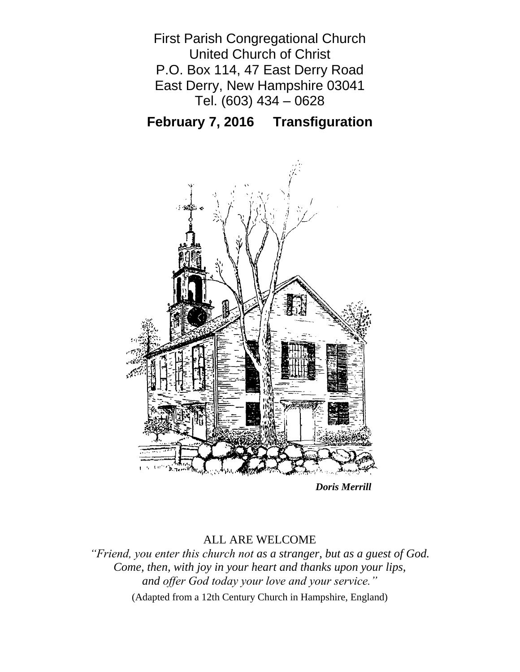First Parish Congregational Church United Church of Christ P.O. Box 114, 47 East Derry Road East Derry, New Hampshire 03041 Tel. (603) 434 – 0628

**February 7, 2016 Transfiguration**



*Doris Merrill*

## ALL ARE WELCOME

*"Friend, you enter this church not as a stranger, but as a guest of God. Come, then, with joy in your heart and thanks upon your lips, and offer God today your love and your service."*

(Adapted from a 12th Century Church in Hampshire, England)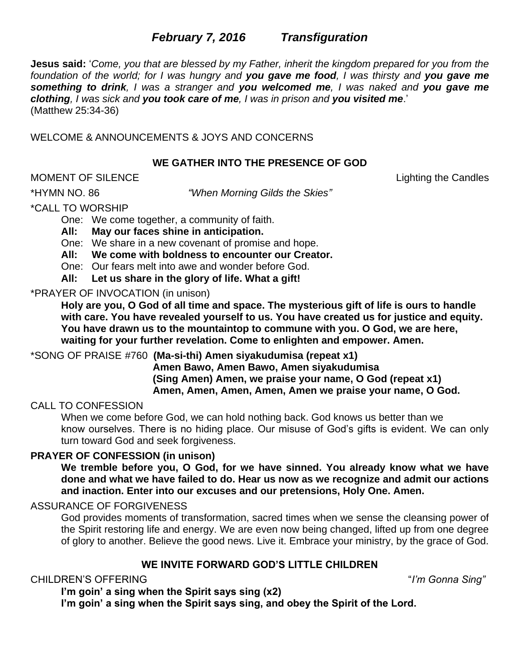# *February 7, 2016**Transfiguration*

**Jesus said:** '*Come, you that are blessed by my Father, inherit the kingdom prepared for you from the foundation of the world; for I was hungry and you gave me food, I was thirsty and you gave me something to drink, I was a stranger and you welcomed me, I was naked and you gave me clothing, I was sick and you took care of me, I was in prison and you visited me*.' (Matthew 25:34-36)

WELCOME & ANNOUNCEMENTS & JOYS AND CONCERNS

### **WE GATHER INTO THE PRESENCE OF GOD**

MOMENT OF SILENCE Lighting the Candles

\*HYMN NO. 86 *"When Morning Gilds the Skies"*

\*CALL TO WORSHIP

One: We come together, a community of faith.

**All: May our faces shine in anticipation.**

One: We share in a new covenant of promise and hope.

**All: We come with boldness to encounter our Creator.**

One: Our fears melt into awe and wonder before God.

**All: Let us share in the glory of life. What a gift!**

\*PRAYER OF INVOCATION (in unison)

**Holy are you, O God of all time and space. The mysterious gift of life is ours to handle with care. You have revealed yourself to us. You have created us for justice and equity. You have drawn us to the mountaintop to commune with you. O God, we are here, waiting for your further revelation. Come to enlighten and empower. Amen.**

\*SONG OF PRAISE #760 **(Ma-si-thi) Amen siyakudumisa (repeat x1)**

**Amen Bawo, Amen Bawo, Amen siyakudumisa (Sing Amen) Amen, we praise your name, O God (repeat x1) Amen, Amen, Amen, Amen, Amen we praise your name, O God.**

## CALL TO CONFESSION

When we come before God, we can hold nothing back. God knows us better than we know ourselves. There is no hiding place. Our misuse of God's gifts is evident. We can only turn toward God and seek forgiveness.

## **PRAYER OF CONFESSION (in unison)**

**We tremble before you, O God, for we have sinned. You already know what we have done and what we have failed to do. Hear us now as we recognize and admit our actions and inaction. Enter into our excuses and our pretensions, Holy One. Amen.**

## ASSURANCE OF FORGIVENESS

God provides moments of transformation, sacred times when we sense the cleansing power of the Spirit restoring life and energy. We are even now being changed, lifted up from one degree of glory to another. Believe the good news. Live it. Embrace your ministry, by the grace of God.

## **WE INVITE FORWARD GOD'S LITTLE CHILDREN**

## CHILDREN'S OFFERING "*I'm Gonna Sing"*

**I'm goin' a sing when the Spirit says sing (x2)**

**I'm goin' a sing when the Spirit says sing, and obey the Spirit of the Lord.**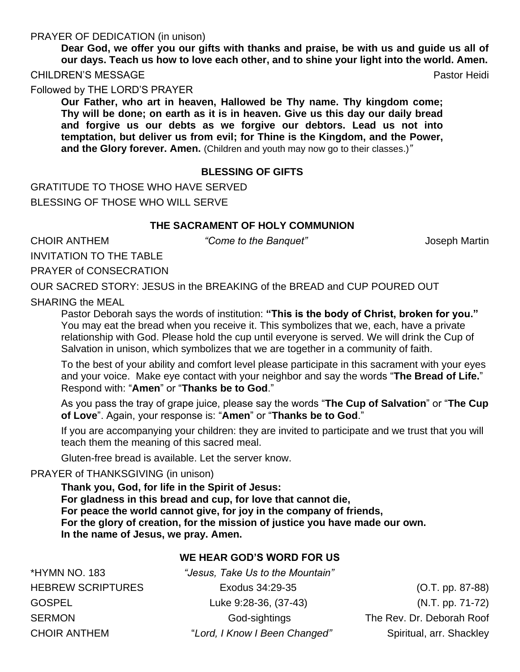#### PRAYER OF DEDICATION (in unison)

**Dear God, we offer you our gifts with thanks and praise, be with us and guide us all of our days. Teach us how to love each other, and to shine your light into the world. Amen.** CHILDREN'S MESSAGE **Pastor Heidi** Pastor Heidi Pastor Heidi Pastor Heidi Pastor Heidi

Followed by THE LORD'S PRAYER

**Our Father, who art in heaven, Hallowed be Thy name. Thy kingdom come; Thy will be done; on earth as it is in heaven. Give us this day our daily bread and forgive us our debts as we forgive our debtors. Lead us not into temptation, but deliver us from evil; for Thine is the Kingdom, and the Power, and the Glory forever. Amen.** (Children and youth may now go to their classes.)*"*

### **BLESSING OF GIFTS**

GRATITUDE TO THOSE WHO HAVE SERVED BLESSING OF THOSE WHO WILL SERVE

#### **THE SACRAMENT OF HOLY COMMUNION**

CHOIR ANTHEM *"Come to the Banquet"* Joseph Martin

INVITATION TO THE TABLE

PRAYER of CONSECRATION

OUR SACRED STORY: JESUS in the BREAKING of the BREAD and CUP POURED OUT

SHARING the MEAL

Pastor Deborah says the words of institution: **"This is the body of Christ, broken for you."** You may eat the bread when you receive it. This symbolizes that we, each, have a private relationship with God. Please hold the cup until everyone is served. We will drink the Cup of Salvation in unison, which symbolizes that we are together in a community of faith.

To the best of your ability and comfort level please participate in this sacrament with your eyes and your voice. Make eye contact with your neighbor and say the words "**The Bread of Life.**" Respond with: "**Amen**" or "**Thanks be to God**."

As you pass the tray of grape juice, please say the words "**The Cup of Salvation**" or "**The Cup of Love**". Again, your response is: "**Amen**" or "**Thanks be to God**."

If you are accompanying your children: they are invited to participate and we trust that you will teach them the meaning of this sacred meal.

Gluten-free bread is available. Let the server know.

PRAYER of THANKSGIVING (in unison)

**Thank you, God, for life in the Spirit of Jesus: For gladness in this bread and cup, for love that cannot die, For peace the world cannot give, for joy in the company of friends, For the glory of creation, for the mission of justice you have made our own. In the name of Jesus, we pray. Amen.**

#### **WE HEAR GOD'S WORD FOR US**

\*HYMN NO. 183 *"Jesus, Take Us to the Mountain"* HEBREW SCRIPTURES Exodus 34:29-35 (O.T. pp. 87-88) GOSPEL Luke 9:28-36, (37-43) (N.T. pp. 71-72) SERMON God-sightings The Rev. Dr. Deborah Roof CHOIR ANTHEM "Lord, I Know I Been Changed" Spiritual, arr. Shackley